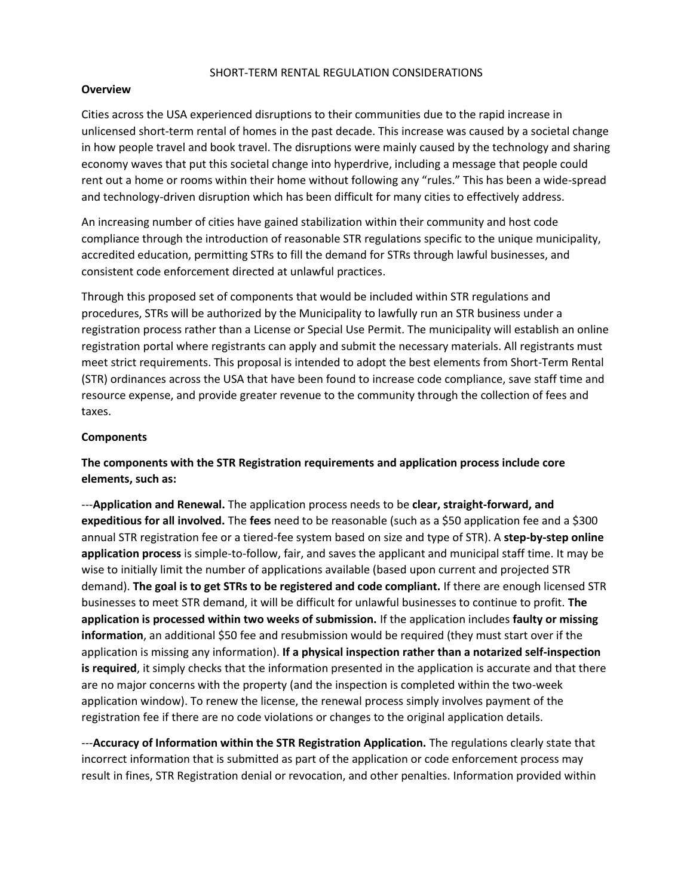## SHORT-TERM RENTAL REGULATION CONSIDERATIONS

## **Overview**

Cities across the USA experienced disruptions to their communities due to the rapid increase in unlicensed short-term rental of homes in the past decade. This increase was caused by a societal change in how people travel and book travel. The disruptions were mainly caused by the technology and sharing economy waves that put this societal change into hyperdrive, including a message that people could rent out a home or rooms within their home without following any "rules." This has been a wide-spread and technology-driven disruption which has been difficult for many cities to effectively address.

An increasing number of cities have gained stabilization within their community and host code compliance through the introduction of reasonable STR regulations specific to the unique municipality, accredited education, permitting STRs to fill the demand for STRs through lawful businesses, and consistent code enforcement directed at unlawful practices.

Through this proposed set of components that would be included within STR regulations and procedures, STRs will be authorized by the Municipality to lawfully run an STR business under a registration process rather than a License or Special Use Permit. The municipality will establish an online registration portal where registrants can apply and submit the necessary materials. All registrants must meet strict requirements. This proposal is intended to adopt the best elements from Short-Term Rental (STR) ordinances across the USA that have been found to increase code compliance, save staff time and resource expense, and provide greater revenue to the community through the collection of fees and taxes.

## **Components**

**The components with the STR Registration requirements and application process include core elements, such as:** 

---**Application and Renewal.** The application process needs to be **clear, straight-forward, and expeditious for all involved.** The **fees** need to be reasonable (such as a \$50 application fee and a \$300 annual STR registration fee or a tiered-fee system based on size and type of STR). A **step-by-step online application process** is simple-to-follow, fair, and saves the applicant and municipal staff time. It may be wise to initially limit the number of applications available (based upon current and projected STR demand). **The goal is to get STRs to be registered and code compliant.** If there are enough licensed STR businesses to meet STR demand, it will be difficult for unlawful businesses to continue to profit. **The application is processed within two weeks of submission.** If the application includes **faulty or missing information**, an additional \$50 fee and resubmission would be required (they must start over if the application is missing any information). **If a physical inspection rather than a notarized self-inspection is required**, it simply checks that the information presented in the application is accurate and that there are no major concerns with the property (and the inspection is completed within the two-week application window). To renew the license, the renewal process simply involves payment of the registration fee if there are no code violations or changes to the original application details.

---**Accuracy of Information within the STR Registration Application.** The regulations clearly state that incorrect information that is submitted as part of the application or code enforcement process may result in fines, STR Registration denial or revocation, and other penalties. Information provided within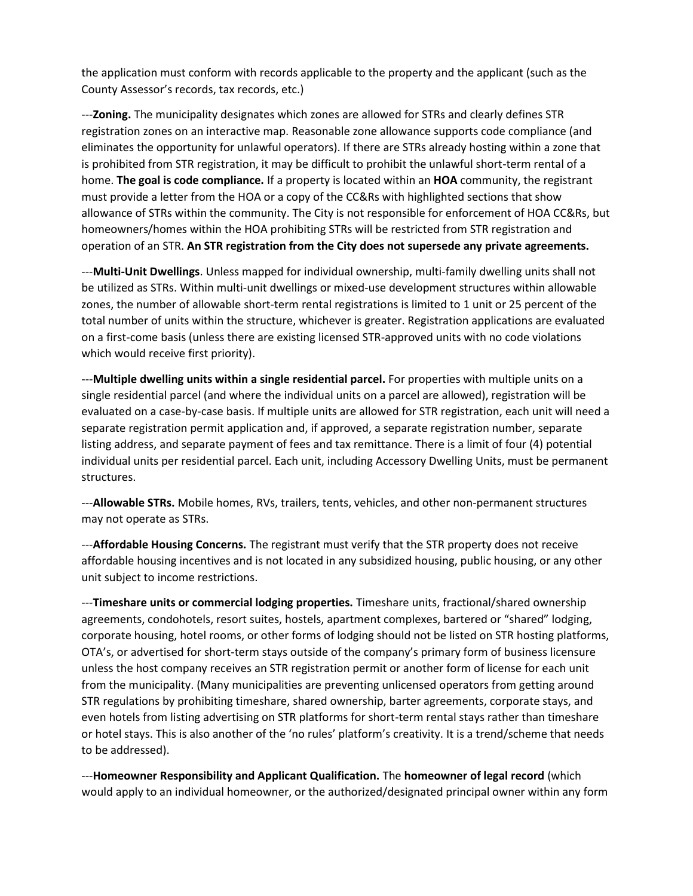the application must conform with records applicable to the property and the applicant (such as the County Assessor's records, tax records, etc.)

---**Zoning.** The municipality designates which zones are allowed for STRs and clearly defines STR registration zones on an interactive map. Reasonable zone allowance supports code compliance (and eliminates the opportunity for unlawful operators). If there are STRs already hosting within a zone that is prohibited from STR registration, it may be difficult to prohibit the unlawful short-term rental of a home. **The goal is code compliance.** If a property is located within an **HOA** community, the registrant must provide a letter from the HOA or a copy of the CC&Rs with highlighted sections that show allowance of STRs within the community. The City is not responsible for enforcement of HOA CC&Rs, but homeowners/homes within the HOA prohibiting STRs will be restricted from STR registration and operation of an STR. **An STR registration from the City does not supersede any private agreements.**

---**Multi-Unit Dwellings**. Unless mapped for individual ownership, multi-family dwelling units shall not be utilized as STRs. Within multi-unit dwellings or mixed-use development structures within allowable zones, the number of allowable short-term rental registrations is limited to 1 unit or 25 percent of the total number of units within the structure, whichever is greater. Registration applications are evaluated on a first-come basis (unless there are existing licensed STR-approved units with no code violations which would receive first priority).

---**Multiple dwelling units within a single residential parcel.** For properties with multiple units on a single residential parcel (and where the individual units on a parcel are allowed), registration will be evaluated on a case-by-case basis. If multiple units are allowed for STR registration, each unit will need a separate registration permit application and, if approved, a separate registration number, separate listing address, and separate payment of fees and tax remittance. There is a limit of four (4) potential individual units per residential parcel. Each unit, including Accessory Dwelling Units, must be permanent structures.

---**Allowable STRs.** Mobile homes, RVs, trailers, tents, vehicles, and other non-permanent structures may not operate as STRs.

---**Affordable Housing Concerns.** The registrant must verify that the STR property does not receive affordable housing incentives and is not located in any subsidized housing, public housing, or any other unit subject to income restrictions.

---**Timeshare units or commercial lodging properties.** Timeshare units, fractional/shared ownership agreements, condohotels, resort suites, hostels, apartment complexes, bartered or "shared" lodging, corporate housing, hotel rooms, or other forms of lodging should not be listed on STR hosting platforms, OTA's, or advertised for short-term stays outside of the company's primary form of business licensure unless the host company receives an STR registration permit or another form of license for each unit from the municipality. (Many municipalities are preventing unlicensed operators from getting around STR regulations by prohibiting timeshare, shared ownership, barter agreements, corporate stays, and even hotels from listing advertising on STR platforms for short-term rental stays rather than timeshare or hotel stays. This is also another of the 'no rules' platform's creativity. It is a trend/scheme that needs to be addressed).

---**Homeowner Responsibility and Applicant Qualification.** The **homeowner of legal record** (which would apply to an individual homeowner, or the authorized/designated principal owner within any form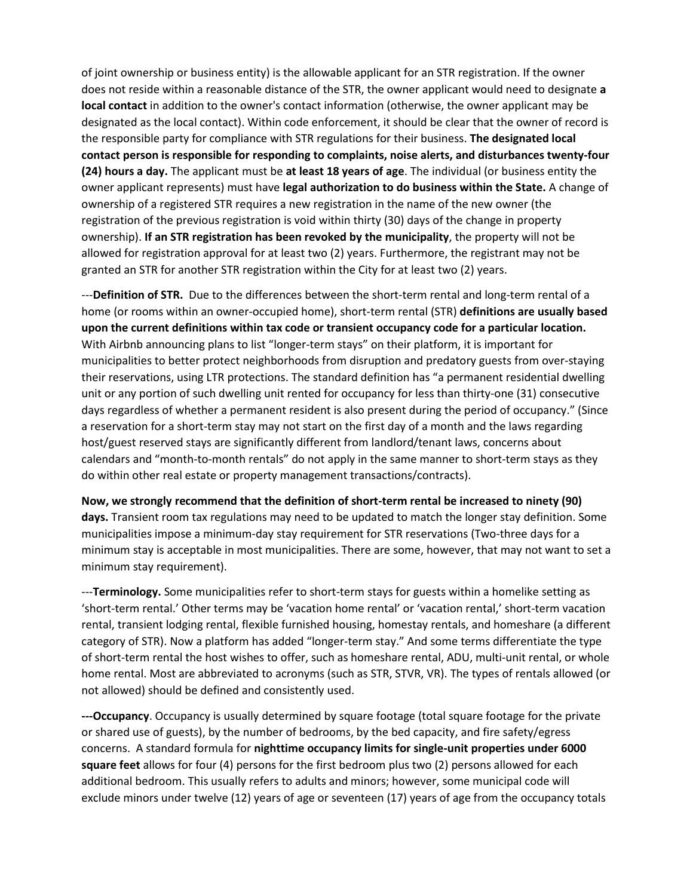of joint ownership or business entity) is the allowable applicant for an STR registration. If the owner does not reside within a reasonable distance of the STR, the owner applicant would need to designate **a local contact** in addition to the owner's contact information (otherwise, the owner applicant may be designated as the local contact). Within code enforcement, it should be clear that the owner of record is the responsible party for compliance with STR regulations for their business. **The designated local contact person is responsible for responding to complaints, noise alerts, and disturbances twenty-four (24) hours a day.** The applicant must be **at least 18 years of age**. The individual (or business entity the owner applicant represents) must have **legal authorization to do business within the State.** A change of ownership of a registered STR requires a new registration in the name of the new owner (the registration of the previous registration is void within thirty (30) days of the change in property ownership). **If an STR registration has been revoked by the municipality**, the property will not be allowed for registration approval for at least two (2) years. Furthermore, the registrant may not be granted an STR for another STR registration within the City for at least two (2) years.

---**Definition of STR.** Due to the differences between the short-term rental and long-term rental of a home (or rooms within an owner-occupied home), short-term rental (STR) **definitions are usually based upon the current definitions within tax code or transient occupancy code for a particular location.** With Airbnb announcing plans to list "longer-term stays" on their platform, it is important for municipalities to better protect neighborhoods from disruption and predatory guests from over-staying their reservations, using LTR protections. The standard definition has "a permanent residential dwelling unit or any portion of such dwelling unit rented for occupancy for less than thirty-one (31) consecutive days regardless of whether a permanent resident is also present during the period of occupancy." (Since a reservation for a short-term stay may not start on the first day of a month and the laws regarding host/guest reserved stays are significantly different from landlord/tenant laws, concerns about calendars and "month-to-month rentals" do not apply in the same manner to short-term stays as they do within other real estate or property management transactions/contracts).

**Now, we strongly recommend that the definition of short-term rental be increased to ninety (90) days.** Transient room tax regulations may need to be updated to match the longer stay definition. Some municipalities impose a minimum-day stay requirement for STR reservations (Two-three days for a minimum stay is acceptable in most municipalities. There are some, however, that may not want to set a minimum stay requirement).

---**Terminology.** Some municipalities refer to short-term stays for guests within a homelike setting as 'short-term rental.' Other terms may be 'vacation home rental' or 'vacation rental,' short-term vacation rental, transient lodging rental, flexible furnished housing, homestay rentals, and homeshare (a different category of STR). Now a platform has added "longer-term stay." And some terms differentiate the type of short-term rental the host wishes to offer, such as homeshare rental, ADU, multi-unit rental, or whole home rental. Most are abbreviated to acronyms (such as STR, STVR, VR). The types of rentals allowed (or not allowed) should be defined and consistently used.

**---Occupancy**. Occupancy is usually determined by square footage (total square footage for the private or shared use of guests), by the number of bedrooms, by the bed capacity, and fire safety/egress concerns. A standard formula for **nighttime occupancy limits for single-unit properties under 6000 square feet** allows for four (4) persons for the first bedroom plus two (2) persons allowed for each additional bedroom. This usually refers to adults and minors; however, some municipal code will exclude minors under twelve (12) years of age or seventeen (17) years of age from the occupancy totals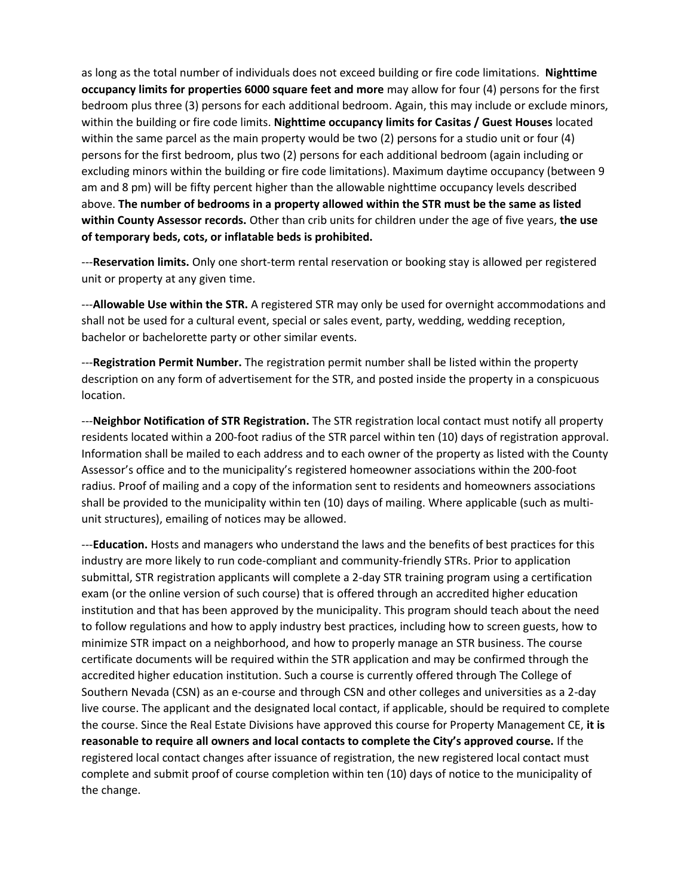as long as the total number of individuals does not exceed building or fire code limitations. **Nighttime occupancy limits for properties 6000 square feet and more** may allow for four (4) persons for the first bedroom plus three (3) persons for each additional bedroom. Again, this may include or exclude minors, within the building or fire code limits. **Nighttime occupancy limits for Casitas / Guest Houses** located within the same parcel as the main property would be two (2) persons for a studio unit or four (4) persons for the first bedroom, plus two (2) persons for each additional bedroom (again including or excluding minors within the building or fire code limitations). Maximum daytime occupancy (between 9 am and 8 pm) will be fifty percent higher than the allowable nighttime occupancy levels described above. **The number of bedrooms in a property allowed within the STR must be the same as listed within County Assessor records.** Other than crib units for children under the age of five years, **the use of temporary beds, cots, or inflatable beds is prohibited.**

---**Reservation limits.** Only one short-term rental reservation or booking stay is allowed per registered unit or property at any given time.

---**Allowable Use within the STR.** A registered STR may only be used for overnight accommodations and shall not be used for a cultural event, special or sales event, party, wedding, wedding reception, bachelor or bachelorette party or other similar events.

---**Registration Permit Number.** The registration permit number shall be listed within the property description on any form of advertisement for the STR, and posted inside the property in a conspicuous location.

---**Neighbor Notification of STR Registration.** The STR registration local contact must notify all property residents located within a 200-foot radius of the STR parcel within ten (10) days of registration approval. Information shall be mailed to each address and to each owner of the property as listed with the County Assessor's office and to the municipality's registered homeowner associations within the 200-foot radius. Proof of mailing and a copy of the information sent to residents and homeowners associations shall be provided to the municipality within ten (10) days of mailing. Where applicable (such as multiunit structures), emailing of notices may be allowed.

---**Education.** Hosts and managers who understand the laws and the benefits of best practices for this industry are more likely to run code-compliant and community-friendly STRs. Prior to application submittal, STR registration applicants will complete a 2-day STR training program using a certification exam (or the online version of such course) that is offered through an accredited higher education institution and that has been approved by the municipality. This program should teach about the need to follow regulations and how to apply industry best practices, including how to screen guests, how to minimize STR impact on a neighborhood, and how to properly manage an STR business. The course certificate documents will be required within the STR application and may be confirmed through the accredited higher education institution. Such a course is currently offered through The College of Southern Nevada (CSN) as an e-course and through CSN and other colleges and universities as a 2-day live course. The applicant and the designated local contact, if applicable, should be required to complete the course. Since the Real Estate Divisions have approved this course for Property Management CE, **it is reasonable to require all owners and local contacts to complete the City's approved course.** If the registered local contact changes after issuance of registration, the new registered local contact must complete and submit proof of course completion within ten (10) days of notice to the municipality of the change.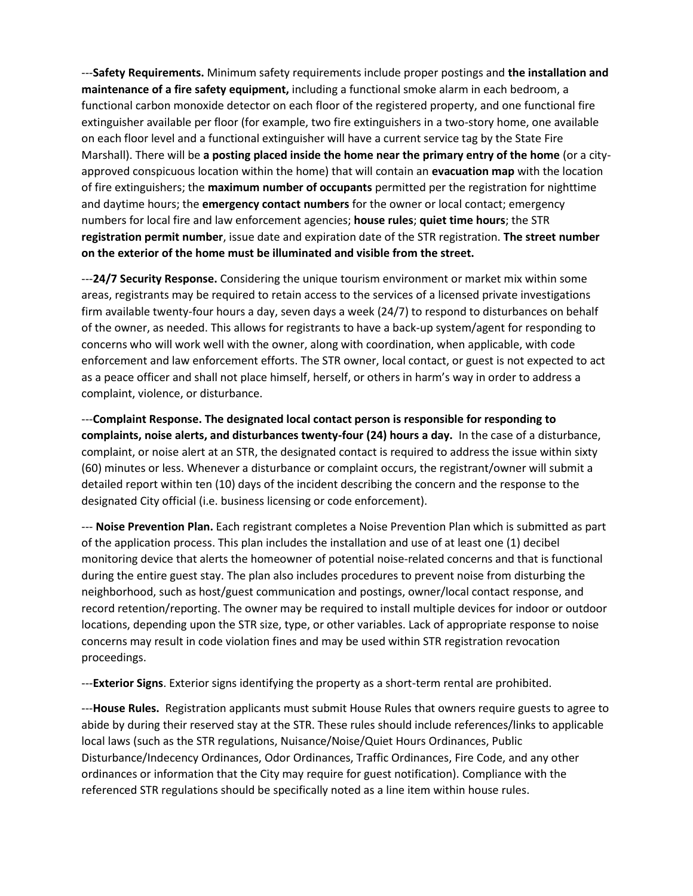---**Safety Requirements.** Minimum safety requirements include proper postings and **the installation and maintenance of a fire safety equipment,** including a functional smoke alarm in each bedroom, a functional carbon monoxide detector on each floor of the registered property, and one functional fire extinguisher available per floor (for example, two fire extinguishers in a two-story home, one available on each floor level and a functional extinguisher will have a current service tag by the State Fire Marshall). There will be **a posting placed inside the home near the primary entry of the home** (or a cityapproved conspicuous location within the home) that will contain an **evacuation map** with the location of fire extinguishers; the **maximum number of occupants** permitted per the registration for nighttime and daytime hours; the **emergency contact numbers** for the owner or local contact; emergency numbers for local fire and law enforcement agencies; **house rules**; **quiet time hours**; the STR **registration permit number**, issue date and expiration date of the STR registration. **The street number on the exterior of the home must be illuminated and visible from the street.** 

---**24/7 Security Response.** Considering the unique tourism environment or market mix within some areas, registrants may be required to retain access to the services of a licensed private investigations firm available twenty-four hours a day, seven days a week (24/7) to respond to disturbances on behalf of the owner, as needed. This allows for registrants to have a back-up system/agent for responding to concerns who will work well with the owner, along with coordination, when applicable, with code enforcement and law enforcement efforts. The STR owner, local contact, or guest is not expected to act as a peace officer and shall not place himself, herself, or others in harm's way in order to address a complaint, violence, or disturbance.

---**Complaint Response. The designated local contact person is responsible for responding to complaints, noise alerts, and disturbances twenty-four (24) hours a day.** In the case of a disturbance, complaint, or noise alert at an STR, the designated contact is required to address the issue within sixty (60) minutes or less. Whenever a disturbance or complaint occurs, the registrant/owner will submit a detailed report within ten (10) days of the incident describing the concern and the response to the designated City official (i.e. business licensing or code enforcement).

--- **Noise Prevention Plan.** Each registrant completes a Noise Prevention Plan which is submitted as part of the application process. This plan includes the installation and use of at least one (1) decibel monitoring device that alerts the homeowner of potential noise-related concerns and that is functional during the entire guest stay. The plan also includes procedures to prevent noise from disturbing the neighborhood, such as host/guest communication and postings, owner/local contact response, and record retention/reporting. The owner may be required to install multiple devices for indoor or outdoor locations, depending upon the STR size, type, or other variables. Lack of appropriate response to noise concerns may result in code violation fines and may be used within STR registration revocation proceedings.

---**Exterior Signs**. Exterior signs identifying the property as a short-term rental are prohibited.

---**House Rules.** Registration applicants must submit House Rules that owners require guests to agree to abide by during their reserved stay at the STR. These rules should include references/links to applicable local laws (such as the STR regulations, Nuisance/Noise/Quiet Hours Ordinances, Public Disturbance/Indecency Ordinances, Odor Ordinances, Traffic Ordinances, Fire Code, and any other ordinances or information that the City may require for guest notification). Compliance with the referenced STR regulations should be specifically noted as a line item within house rules.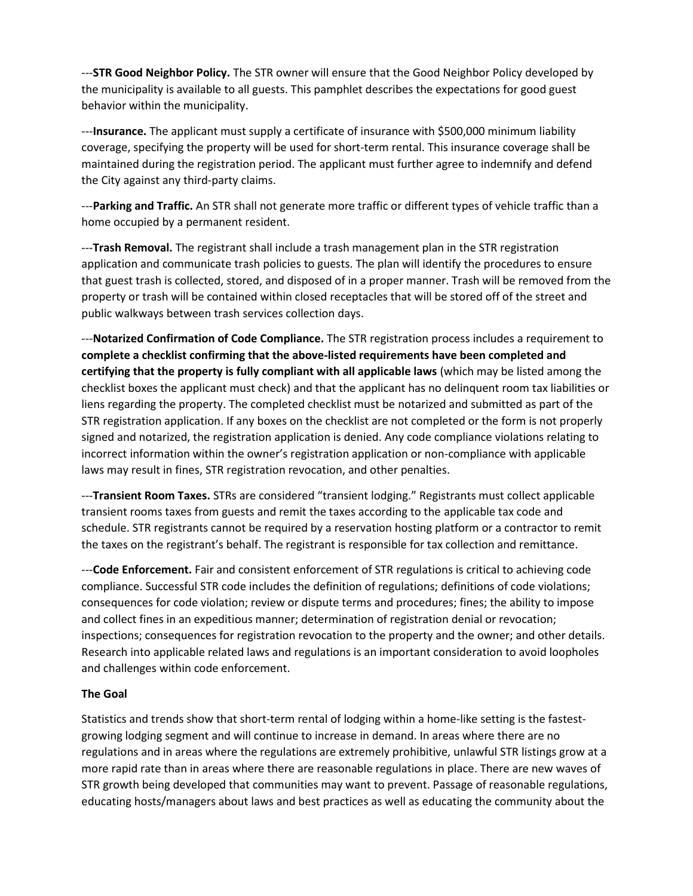---**STR Good Neighbor Policy.** The STR owner will ensure that the Good Neighbor Policy developed by the municipality is available to all guests. This pamphlet describes the expectations for good guest behavior within the municipality.

---**Insurance.** The applicant must supply a certificate of insurance with \$500,000 minimum liability coverage, specifying the property will be used for short-term rental. This insurance coverage shall be maintained during the registration period. The applicant must further agree to indemnify and defend the City against any third-party claims.

---**Parking and Traffic.** An STR shall not generate more traffic or different types of vehicle traffic than a home occupied by a permanent resident.

---**Trash Removal.** The registrant shall include a trash management plan in the STR registration application and communicate trash policies to guests. The plan will identify the procedures to ensure that guest trash is collected, stored, and disposed of in a proper manner. Trash will be removed from the property or trash will be contained within closed receptacles that will be stored off of the street and public walkways between trash services collection days.

---**Notarized Confirmation of Code Compliance.** The STR registration process includes a requirement to **complete a checklist confirming that the above-listed requirements have been completed and certifying that the property is fully compliant with all applicable laws** (which may be listed among the checklist boxes the applicant must check) and that the applicant has no delinquent room tax liabilities or liens regarding the property. The completed checklist must be notarized and submitted as part of the STR registration application. If any boxes on the checklist are not completed or the form is not properly signed and notarized, the registration application is denied. Any code compliance violations relating to incorrect information within the owner's registration application or non-compliance with applicable laws may result in fines, STR registration revocation, and other penalties.

---**Transient Room Taxes.** STRs are considered "transient lodging." Registrants must collect applicable transient rooms taxes from guests and remit the taxes according to the applicable tax code and schedule. STR registrants cannot be required by a reservation hosting platform or a contractor to remit the taxes on the registrant's behalf. The registrant is responsible for tax collection and remittance.

---**Code Enforcement.** Fair and consistent enforcement of STR regulations is critical to achieving code compliance. Successful STR code includes the definition of regulations; definitions of code violations; consequences for code violation; review or dispute terms and procedures; fines; the ability to impose and collect fines in an expeditious manner; determination of registration denial or revocation; inspections; consequences for registration revocation to the property and the owner; and other details. Research into applicable related laws and regulations is an important consideration to avoid loopholes and challenges within code enforcement.

## **The Goal**

Statistics and trends show that short-term rental of lodging within a home-like setting is the fastestgrowing lodging segment and will continue to increase in demand. In areas where there are no regulations and in areas where the regulations are extremely prohibitive, unlawful STR listings grow at a more rapid rate than in areas where there are reasonable regulations in place. There are new waves of STR growth being developed that communities may want to prevent. Passage of reasonable regulations, educating hosts/managers about laws and best practices as well as educating the community about the